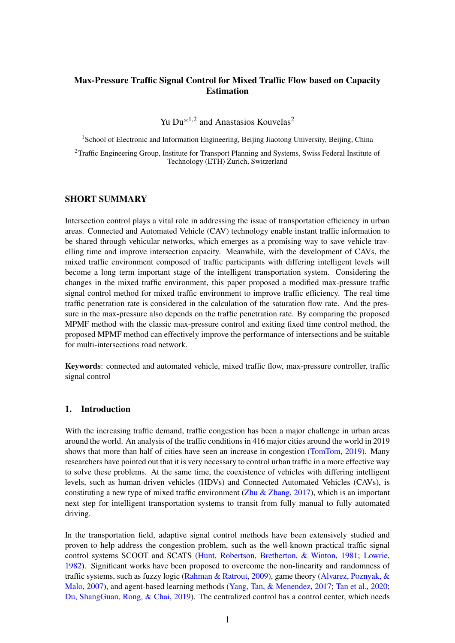# Max-Pressure Traffic Signal Control for Mixed Traffic Flow based on Capacity Estimation

Yu Du $*^{1,2}$  and Anastasios Kouvelas<sup>2</sup>

<sup>1</sup> School of Electronic and Information Engineering, Beijing Jiaotong University, Beijing, China

<sup>2</sup>Traffic Engineering Group, Institute for Transport Planning and Systems, Swiss Federal Institute of Technology (ETH) Zurich, Switzerland

# SHORT SUMMARY

Intersection control plays a vital role in addressing the issue of transportation efficiency in urban areas. Connected and Automated Vehicle (CAV) technology enable instant traffic information to be shared through vehicular networks, which emerges as a promising way to save vehicle travelling time and improve intersection capacity. Meanwhile, with the development of CAVs, the mixed traffic environment composed of traffic participants with differing intelligent levels will become a long term important stage of the intelligent transportation system. Considering the changes in the mixed traffic environment, this paper proposed a modified max-pressure traffic signal control method for mixed traffic environment to improve traffic efficiency. The real time traffic penetration rate is considered in the calculation of the saturation flow rate. And the pressure in the max-pressure also depends on the traffic penetration rate. By comparing the proposed MPMF method with the classic max-pressure control and exiting fixed time control method, the proposed MPMF method can effectively improve the performance of intersections and be suitable for multi-intersections road network.

Keywords: connected and automated vehicle, mixed traffic flow, max-pressure controller, traffic signal control

### 1. Introduction

With the increasing traffic demand, traffic congestion has been a major challenge in urban areas around the world. An analysis of the traffic conditions in 416 major cities around the world in 2019 shows that more than half of cities have seen an increase in congestion [\(TomTom,](#page-8-0) [2019\)](#page-8-0). Many researchers have pointed out that it is very necessary to control urban traffic in a more effective way to solve these problems. At the same time, the coexistence of vehicles with differing intelligent levels, such as human-driven vehicles (HDVs) and Connected Automated Vehicles (CAVs), is constituting a new type of mixed traffic environment [\(Zhu & Zhang,](#page-8-1) [2017\)](#page-8-1), which is an important next step for intelligent transportation systems to transit from fully manual to fully automated driving.

In the transportation field, adaptive signal control methods have been extensively studied and proven to help address the congestion problem, such as the well-known practical traffic signal control systems SCOOT and SCATS [\(Hunt, Robertson, Bretherton, & Winton,](#page-7-0) [1981;](#page-7-0) [Lowrie,](#page-7-1) [1982\)](#page-7-1). Significant works have been proposed to overcome the non-linearity and randomness of traffic systems, such as fuzzy logic [\(Rahman & Ratrout,](#page-8-2) [2009\)](#page-8-2), game theory [\(Alvarez, Poznyak, &](#page-7-2) [Malo,](#page-7-2) [2007\)](#page-7-2), and agent-based learning methods [\(Yang, Tan, & Menendez,](#page-8-3) [2017;](#page-8-3) [Tan et al.,](#page-8-4) [2020;](#page-8-4) [Du, ShangGuan, Rong, & Chai,](#page-7-3) [2019\)](#page-7-3). The centralized control has a control center, which needs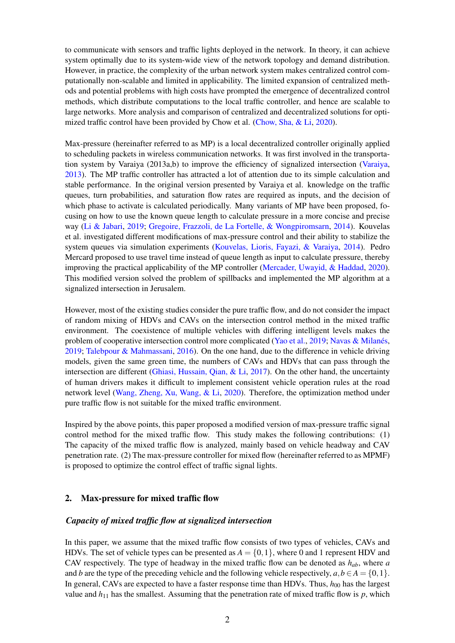to communicate with sensors and traffic lights deployed in the network. In theory, it can achieve system optimally due to its system-wide view of the network topology and demand distribution. However, in practice, the complexity of the urban network system makes centralized control computationally non-scalable and limited in applicability. The limited expansion of centralized methods and potential problems with high costs have prompted the emergence of decentralized control methods, which distribute computations to the local traffic controller, and hence are scalable to large networks. More analysis and comparison of centralized and decentralized solutions for optimized traffic control have been provided by Chow et al. [\(Chow, Sha, & Li,](#page-7-4) [2020\)](#page-7-4).

Max-pressure (hereinafter referred to as MP) is a local decentralized controller originally applied to scheduling packets in wireless communication networks. It was first involved in the transportation system by Varaiya (2013a,b) to improve the efficiency of signalized intersection [\(Varaiya,](#page-8-5) [2013\)](#page-8-5). The MP traffic controller has attracted a lot of attention due to its simple calculation and stable performance. In the original version presented by Varaiya et al. knowledge on the traffic queues, turn probabilities, and saturation flow rates are required as inputs, and the decision of which phase to activate is calculated periodically. Many variants of MP have been proposed, focusing on how to use the known queue length to calculate pressure in a more concise and precise way [\(Li & Jabari,](#page-7-5) [2019;](#page-7-5) [Gregoire, Frazzoli, de La Fortelle, & Wongpiromsarn,](#page-7-6) [2014\)](#page-7-6). Kouvelas et al. investigated different modifications of max-pressure control and their ability to stabilize the system queues via simulation experiments [\(Kouvelas, Lioris, Fayazi, & Varaiya,](#page-7-7) [2014\)](#page-7-7). Pedro Mercard proposed to use travel time instead of queue length as input to calculate pressure, thereby improving the practical applicability of the MP controller [\(Mercader, Uwayid, & Haddad,](#page-7-8) [2020\)](#page-7-8). This modified version solved the problem of spillbacks and implemented the MP algorithm at a signalized intersection in Jerusalem.

However, most of the existing studies consider the pure traffic flow, and do not consider the impact of random mixing of HDVs and CAVs on the intersection control method in the mixed traffic environment. The coexistence of multiple vehicles with differing intelligent levels makes the problem of cooperative intersection control more complicated [\(Yao et al.,](#page-8-6) [2019;](#page-8-6) [Navas & Milanés,](#page-7-9) [2019;](#page-7-9) [Talebpour & Mahmassani,](#page-8-7) [2016\)](#page-8-7). On the one hand, due to the difference in vehicle driving models, given the same green time, the numbers of CAVs and HDVs that can pass through the intersection are different [\(Ghiasi, Hussain, Qian, & Li,](#page-7-10) [2017\)](#page-7-10). On the other hand, the uncertainty of human drivers makes it difficult to implement consistent vehicle operation rules at the road network level [\(Wang, Zheng, Xu, Wang, & Li,](#page-8-8) [2020\)](#page-8-8). Therefore, the optimization method under pure traffic flow is not suitable for the mixed traffic environment.

Inspired by the above points, this paper proposed a modified version of max-pressure traffic signal control method for the mixed traffic flow. This study makes the following contributions: (1) The capacity of the mixed traffic flow is analyzed, mainly based on vehicle headway and CAV penetration rate. (2) The max-pressure controller for mixed flow (hereinafter referred to as MPMF) is proposed to optimize the control effect of traffic signal lights.

# 2. Max-pressure for mixed traffic flow

#### *Capacity of mixed traffic flow at signalized intersection*

In this paper, we assume that the mixed traffic flow consists of two types of vehicles, CAVs and HDVs. The set of vehicle types can be presented as  $A = \{0, 1\}$ , where 0 and 1 represent HDV and CAV respectively. The type of headway in the mixed traffic flow can be denoted as *hab*, where *a* and *b* are the type of the preceding vehicle and the following vehicle respectively,  $a, b \in A = \{0, 1\}$ . In general, CAVs are expected to have a faster response time than HDVs. Thus,  $h_{00}$  has the largest value and  $h_{11}$  has the smallest. Assuming that the penetration rate of mixed traffic flow is  $p$ , which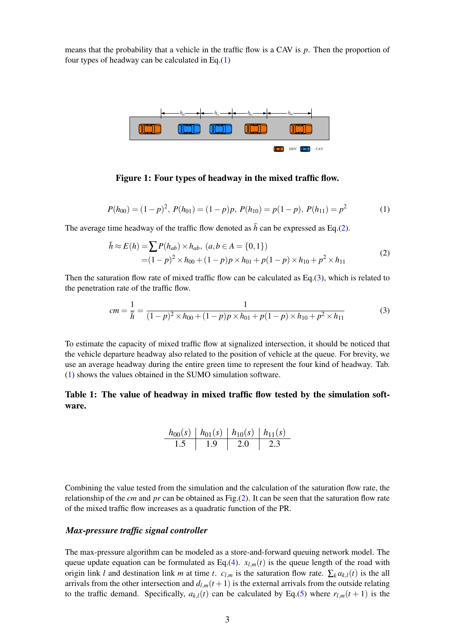means that the probability that a vehicle in the traffic flow is a CAV is *p*. Then the proportion of four types of headway can be calculated in Eq.[\(1\)](#page-2-0)



Figure 1: Four types of headway in the mixed traffic flow.

<span id="page-2-0"></span>
$$
P(h_{00}) = (1-p)^2, P(h_{01}) = (1-p)p, P(h_{10}) = p(1-p), P(h_{11}) = p^2
$$
 (1)

<span id="page-2-1"></span>The average time headway of the traffic flow denoted as  $\bar{h}$  can be expressed as Eq.[\(2\)](#page-2-1).

$$
\bar{h} \approx E(h) = \sum P(h_{ab}) \times h_{ab}, (a, b \in A = \{0, 1\})
$$
  
=  $(1 - p)^2 \times h_{00} + (1 - p)p \times h_{01} + p(1 - p) \times h_{10} + p^2 \times h_{11}$  (2)

Then the saturation flow rate of mixed traffic flow can be calculated as Eq.[\(3\)](#page-2-2), which is related to the penetration rate of the traffic flow.

<span id="page-2-2"></span>
$$
cm = \frac{1}{\bar{h}} = \frac{1}{(1-p)^2 \times h_{00} + (1-p)p \times h_{01} + p(1-p) \times h_{10} + p^2 \times h_{11}}\tag{3}
$$

To estimate the capacity of mixed traffic flow at signalized intersection, it should be noticed that the vehicle departure headway also related to the position of vehicle at the queue. For brevity, we use an average headway during the entire green time to represent the four kind of headway. Tab. [\(1\)](#page-2-3) shows the values obtained in the SUMO simulation software.

<span id="page-2-3"></span>Table 1: The value of headway in mixed traffic flow tested by the simulation software.

$$
\begin{array}{c|c|c|c|c} h_{00}(s) & h_{01}(s) & h_{10}(s) & h_{11}(s) \\ \hline 1.5 & 1.9 & 2.0 & 2.3 \\ \end{array}
$$

Combining the value tested from the simulation and the calculation of the saturation flow rate, the relationship of the *cm* and *pr* can be obtained as Fig.[\(2\)](#page-3-0). It can be seen that the saturation flow rate of the mixed traffic flow increases as a quadratic function of the PR.

#### *Max-pressure traffic signal controller*

The max-pressure algorithm can be modeled as a store-and-forward queuing network model. The queue update equation can be formulated as Eq.[\(4\)](#page-3-1).  $x_{l,m}(t)$  is the queue length of the road with origin link *l* and destination link *m* at time *t*.  $c_{l,m}$  is the saturation flow rate.  $\sum_k a_{k,l}(t)$  is the all arrivals from the other intersection and  $d_{l,m}(t+1)$  is the external arrivals from the outside relating to the traffic demand. Specifically,  $a_{k,l}(t)$  can be calculated by Eq.[\(5\)](#page-3-2) where  $r_{l,m}(t+1)$  is the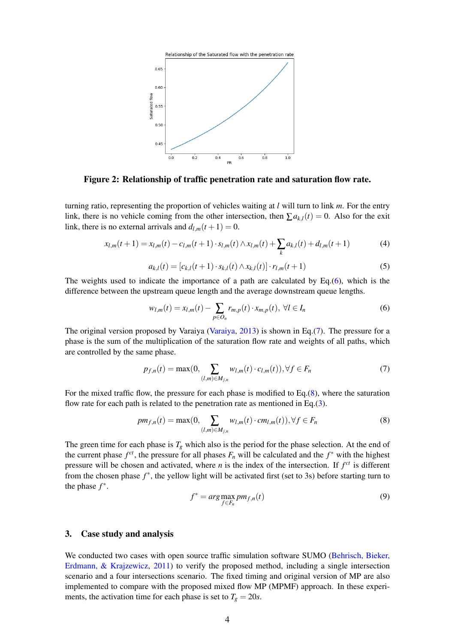<span id="page-3-0"></span>

Figure 2: Relationship of traffic penetration rate and saturation flow rate.

turning ratio, representing the proportion of vehicles waiting at *l* will turn to link *m*. For the entry link, there is no vehicle coming from the other intersection, then  $\sum a_{k,l}(t) = 0$ . Also for the exit link, there is no external arrivals and  $d_{l,m}(t+1) = 0$ .

<span id="page-3-1"></span>
$$
x_{l,m}(t+1) = x_{l,m}(t) - c_{l,m}(t+1) \cdot s_{l,m}(t) \wedge x_{l,m}(t) + \sum_{k} a_{k,l}(t) + d_{l,m}(t+1) \tag{4}
$$

<span id="page-3-2"></span>
$$
a_{k,l}(t) = [c_{k,l}(t+1) \cdot s_{k,l}(t) \wedge x_{k,l}(t)] \cdot r_{l,m}(t+1)
$$
\n(5)

The weights used to indicate the importance of a path are calculated by Eq.[\(6\)](#page-3-3), which is the difference between the upstream queue length and the average downstream queue lengths.

<span id="page-3-3"></span>
$$
w_{l,m}(t) = x_{l,m}(t) - \sum_{p \in O_n} r_{m,p}(t) \cdot x_{m,p}(t), \ \forall l \in I_n
$$
 (6)

The original version proposed by Varaiya [\(Varaiya,](#page-8-5) [2013\)](#page-8-5) is shown in Eq.[\(7\)](#page-3-4). The pressure for a phase is the sum of the multiplication of the saturation flow rate and weights of all paths, which are controlled by the same phase.

<span id="page-3-4"></span>
$$
p_{f,n}(t) = \max(0, \sum_{(l,m)\in M_{j,n}} w_{l,m}(t) \cdot c_{l,m}(t)), \forall f \in F_n
$$
 (7)

For the mixed traffic flow, the pressure for each phase is modified to Eq.[\(8\)](#page-3-5), where the saturation flow rate for each path is related to the penetration rate as mentioned in Eq.[\(3\)](#page-2-2).

<span id="page-3-5"></span>
$$
pm_{f,n}(t) = \max(0, \sum_{(l,m)\in M_{j,n}} w_{l,m}(t) \cdot cm_{l,m}(t)), \forall f \in F_n
$$
\n(8)

The green time for each phase is  $T_g$  which also is the period for the phase selection. At the end of the current phase  $f^{ct}$ , the pressure for all phases  $F_n$  will be calculated and the  $f^*$  with the highest pressure will be chosen and activated, where  $n$  is the index of the intersection. If  $f^{ct}$  is different from the chosen phase  $f^*$ , the yellow light will be activated first (set to 3s) before starting turn to the phase *f* ∗ .

$$
f^* = \arg\max_{f \in F_n} p m_{f,n}(t) \tag{9}
$$

# 3. Case study and analysis

We conducted two cases with open source traffic simulation software SUMO [\(Behrisch, Bieker,](#page-7-11) [Erdmann, & Krajzewicz,](#page-7-11) [2011\)](#page-7-11) to verify the proposed method, including a single intersection scenario and a four intersections scenario. The fixed timing and original version of MP are also implemented to compare with the proposed mixed flow MP (MPMF) approach. In these experiments, the activation time for each phase is set to  $T_g = 20s$ .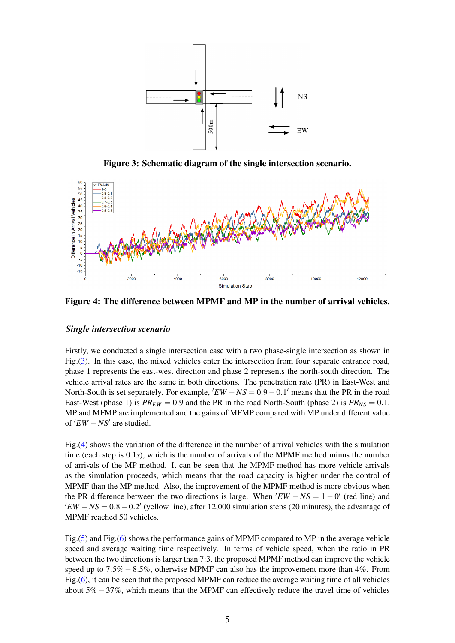<span id="page-4-0"></span>

Figure 3: Schematic diagram of the single intersection scenario.

<span id="page-4-1"></span>

Figure 4: The difference between MPMF and MP in the number of arrival vehicles.

# *Single intersection scenario*

Firstly, we conducted a single intersection case with a two phase-single intersection as shown in Fig.[\(3\)](#page-4-0). In this case, the mixed vehicles enter the intersection from four separate entrance road, phase 1 represents the east-west direction and phase 2 represents the north-south direction. The vehicle arrival rates are the same in both directions. The penetration rate (PR) in East-West and North-South is set separately. For example,  $'EW - NS = 0.9 - 0.1'$  means that the PR in the road East-West (phase 1) is  $PR_{EW} = 0.9$  and the PR in the road North-South (phase 2) is  $PR_{NS} = 0.1$ . MP and MFMP are implemented and the gains of MFMP compared with MP under different value of ′*EW* −*NS*′ are studied.

Fig.[\(4\)](#page-4-1) shows the variation of the difference in the number of arrival vehicles with the simulation time (each step is 0.1*s*), which is the number of arrivals of the MPMF method minus the number of arrivals of the MP method. It can be seen that the MPMF method has more vehicle arrivals as the simulation proceeds, which means that the road capacity is higher under the control of MPMF than the MP method. Also, the improvement of the MPMF method is more obvious when the PR difference between the two directions is large. When  $'EW - NS = 1 - 0'$  (red line) and  $'EW - NS = 0.8 - 0.2'$  (yellow line), after 12,000 simulation steps (20 minutes), the advantage of MPMF reached 50 vehicles.

Fig.[\(5\)](#page-5-0) and Fig.[\(6\)](#page-5-1) shows the performance gains of MPMF compared to MP in the average vehicle speed and average waiting time respectively. In terms of vehicle speed, when the ratio in PR between the two directions is larger than 7:3, the proposed MPMF method can improve the vehicle speed up to  $7.5\% - 8.5\%$ , otherwise MPMF can also has the improvement more than 4%. From Fig.[\(6\)](#page-5-1), it can be seen that the proposed MPMF can reduce the average waiting time of all vehicles about  $5\% - 37\%$ , which means that the MPMF can effectively reduce the travel time of vehicles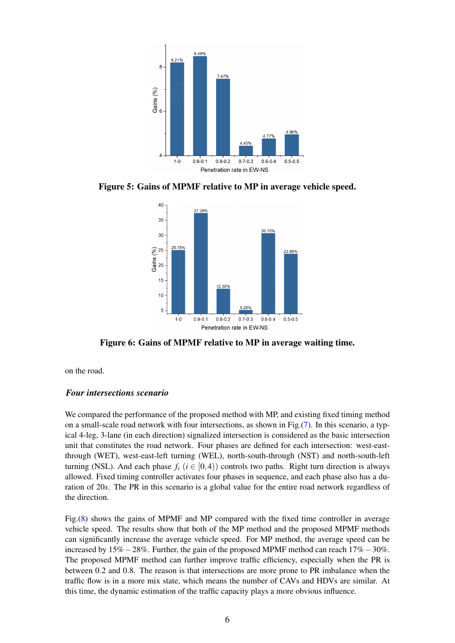<span id="page-5-0"></span>

<span id="page-5-1"></span>Figure 5: Gains of MPMF relative to MP in average vehicle speed.



Figure 6: Gains of MPMF relative to MP in average waiting time.

on the road.

# *Four intersections scenario*

We compared the performance of the proposed method with MP, and existing fixed timing method on a small-scale road network with four intersections, as shown in Fig.[\(7\)](#page-6-0). In this scenario, a typical 4-leg, 3-lane (in each direction) signalized intersection is considered as the basic intersection unit that constitutes the road network. Four phases are defined for each intersection: west-eastthrough (WET), west-east-left turning (WEL), north-south-through (NST) and north-south-left turning (NSL). And each phase  $f_i$  ( $i \in [0,4)$ ) controls two paths. Right turn direction is always allowed. Fixed timing controller activates four phases in sequence, and each phase also has a duration of 20*s*. The PR in this scenario is a global value for the entire road network regardless of the direction.

Fig.[\(8\)](#page-6-1) shows the gains of MPMF and MP compared with the fixed time controller in average vehicle speed. The results show that both of the MP method and the proposed MPMF methods can significantly increase the average vehicle speed. For MP method, the average speed can be increased by 15% $-28\%$ . Further, the gain of the proposed MPMF method can reach 17% $-30\%$ . The proposed MPMF method can further improve traffic efficiency, especially when the PR is between 0.2 and 0.8. The reason is that intersections are more prone to PR imbalance when the traffic flow is in a more mix state, which means the number of CAVs and HDVs are similar. At this time, the dynamic estimation of the traffic capacity plays a more obvious influence.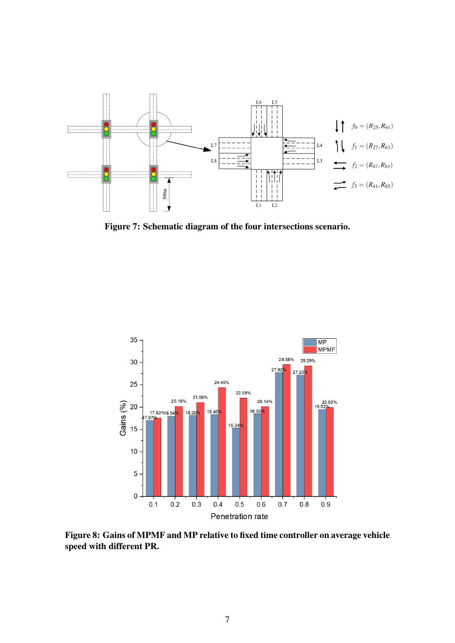<span id="page-6-0"></span>

Figure 7: Schematic diagram of the four intersections scenario.

<span id="page-6-1"></span>

Figure 8: Gains of MPMF and MP relative to fixed time controller on average vehicle speed with different PR.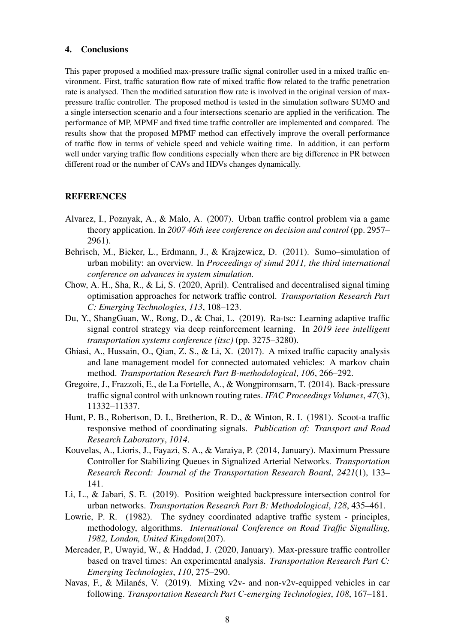#### 4. Conclusions

This paper proposed a modified max-pressure traffic signal controller used in a mixed traffic environment. First, traffic saturation flow rate of mixed traffic flow related to the traffic penetration rate is analysed. Then the modified saturation flow rate is involved in the original version of maxpressure traffic controller. The proposed method is tested in the simulation software SUMO and a single intersection scenario and a four intersections scenario are applied in the verification. The performance of MP, MPMF and fixed time traffic controller are implemented and compared. The results show that the proposed MPMF method can effectively improve the overall performance of traffic flow in terms of vehicle speed and vehicle waiting time. In addition, it can perform well under varying traffic flow conditions especially when there are big difference in PR between different road or the number of CAVs and HDVs changes dynamically.

# **REFERENCES**

- <span id="page-7-2"></span>Alvarez, I., Poznyak, A., & Malo, A. (2007). Urban traffic control problem via a game theory application. In *2007 46th ieee conference on decision and control* (pp. 2957– 2961).
- <span id="page-7-11"></span>Behrisch, M., Bieker, L., Erdmann, J., & Krajzewicz, D. (2011). Sumo–simulation of urban mobility: an overview. In *Proceedings of simul 2011, the third international conference on advances in system simulation.*
- <span id="page-7-4"></span>Chow, A. H., Sha, R., & Li, S. (2020, April). Centralised and decentralised signal timing optimisation approaches for network traffic control. *Transportation Research Part C: Emerging Technologies*, *113*, 108–123.
- <span id="page-7-3"></span>Du, Y., ShangGuan, W., Rong, D., & Chai, L. (2019). Ra-tsc: Learning adaptive traffic signal control strategy via deep reinforcement learning. In *2019 ieee intelligent transportation systems conference (itsc)* (pp. 3275–3280).
- <span id="page-7-10"></span>Ghiasi, A., Hussain, O., Qian, Z. S., & Li, X. (2017). A mixed traffic capacity analysis and lane management model for connected automated vehicles: A markov chain method. *Transportation Research Part B-methodological*, *106*, 266–292.
- <span id="page-7-6"></span>Gregoire, J., Frazzoli, E., de La Fortelle, A., & Wongpiromsarn, T. (2014). Back-pressure traffic signal control with unknown routing rates. *IFAC Proceedings Volumes*, *47*(3), 11332–11337.
- <span id="page-7-0"></span>Hunt, P. B., Robertson, D. I., Bretherton, R. D., & Winton, R. I. (1981). Scoot-a traffic responsive method of coordinating signals. *Publication of: Transport and Road Research Laboratory*, *1014*.
- <span id="page-7-7"></span>Kouvelas, A., Lioris, J., Fayazi, S. A., & Varaiya, P. (2014, January). Maximum Pressure Controller for Stabilizing Queues in Signalized Arterial Networks. *Transportation Research Record: Journal of the Transportation Research Board*, *2421*(1), 133– 141.
- <span id="page-7-5"></span>Li, L., & Jabari, S. E. (2019). Position weighted backpressure intersection control for urban networks. *Transportation Research Part B: Methodological*, *128*, 435–461.
- <span id="page-7-1"></span>Lowrie, P. R. (1982). The sydney coordinated adaptive traffic system - principles, methodology, algorithms. *International Conference on Road Traffic Signalling, 1982, London, United Kingdom*(207).
- <span id="page-7-8"></span>Mercader, P., Uwayid, W., & Haddad, J. (2020, January). Max-pressure traffic controller based on travel times: An experimental analysis. *Transportation Research Part C: Emerging Technologies*, *110*, 275–290.
- <span id="page-7-9"></span>Navas, F., & Milanés, V. (2019). Mixing v2v- and non-v2v-equipped vehicles in car following. *Transportation Research Part C-emerging Technologies*, *108*, 167–181.